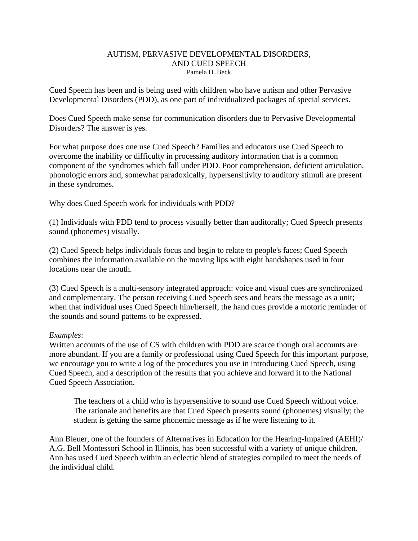### AUTISM, PERVASIVE DEVELOPMENTAL DISORDERS, AND CUED SPEECH Pamela H. Beck

Cued Speech has been and is being used with children who have autism and other Pervasive Developmental Disorders (PDD), as one part of individualized packages of special services.

Does Cued Speech make sense for communication disorders due to Pervasive Developmental Disorders? The answer is yes.

For what purpose does one use Cued Speech? Families and educators use Cued Speech to overcome the inability or difficulty in processing auditory information that is a common component of the syndromes which fall under PDD. Poor comprehension, deficient articulation, phonologic errors and, somewhat paradoxically, hypersensitivity to auditory stimuli are present in these syndromes.

Why does Cued Speech work for individuals with PDD?

(1) Individuals with PDD tend to process visually better than auditorally; Cued Speech presents sound (phonemes) visually.

(2) Cued Speecb helps individuals focus and begin to relate to people's faces; Cued Speech combines the information available on the moving lips with eight handshapes used in four locations near the mouth.

(3) Cued Speech is a multi-sensory integrated approach: voice and visual cues are synchronized and complementary. The person receiving Cued Speech sees and hears the message as a unit; when that individual uses Cued Speech him/herself, the hand cues provide a motoric reminder of the sounds and sound pattems to be expressed.

## *Examples*:

Written accounts of the use of CS with children with PDD are scarce though oral accounts are more abundant. If you are a family or professional using Cued Speech for this important purpose, we encourage you to write a log of tbe procedures you use in introducing Cued Speech, using Cued Speech, and a description of the results that you achieve and forward it to the National Cued Speech Association.

The teachers of a child who is hypersensitive to sound use Cued Speech without voice. The rationale and benefits are that Cued Speech presents sound (phonemes) visually; the student is getting the same phonemic message as if he were listening to it.

Ann Bleuer, one of the founders of Alternatives in Education for the Hearing-Impaired (AEHI)/ A.G. Bell Montessori School in Illinois, has been successful with a variety of unique children. Ann has used Cued Speech within an eclectic blend of strategies compiled to meet the needs of the individual child.